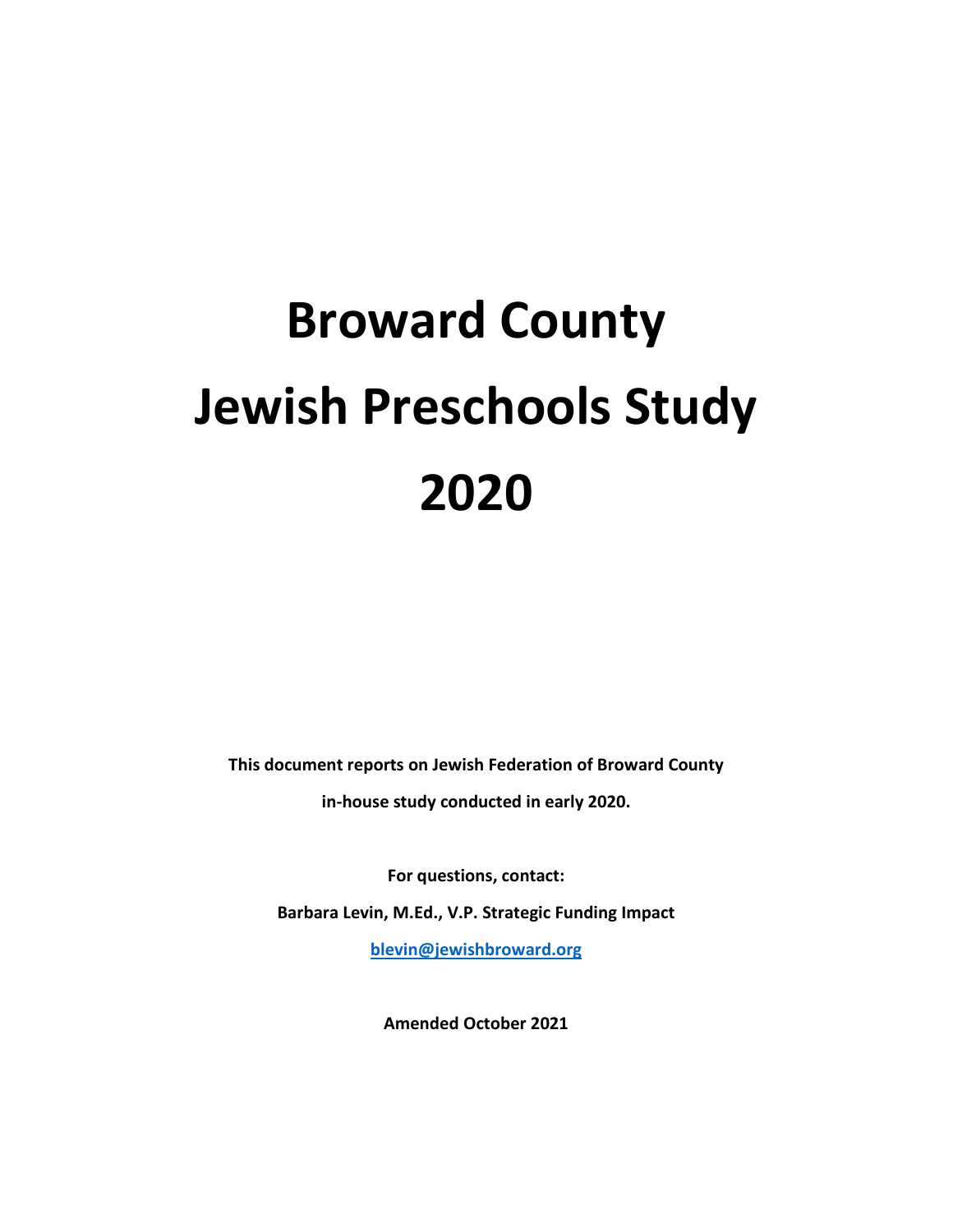# **Broward County Jewish Preschools Study 2020**

**This document reports on Jewish Federation of Broward County in-house study conducted in early 2020.**

**For questions, contact: Barbara Levin, M.Ed., V.P. Strategic Funding Impact [blevin@jewishbroward.org](mailto:blevin@jewishbroward.org)**

**Amended October 2021**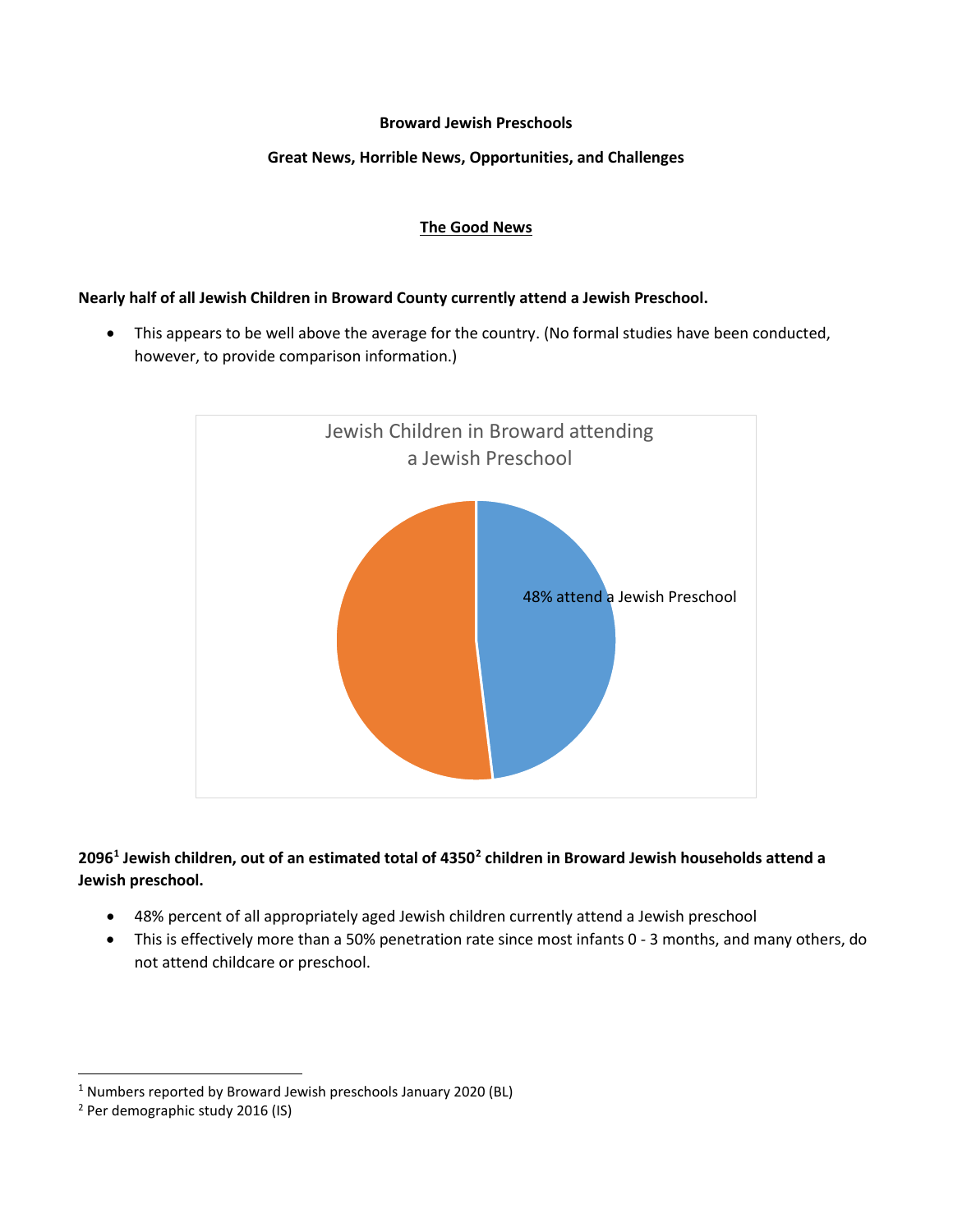#### **Broward Jewish Preschools**

## **Great News, Horrible News, Opportunities, and Challenges**

## **The Good News**

## **Nearly half of all Jewish Children in Broward County currently attend a Jewish Preschool.**

• This appears to be well above the average for the country. (No formal studies have been conducted, however, to provide comparison information.)



# **2096[1](#page-1-0) Jewish children, out of an estimated total of 4350[2](#page-1-1) children in Broward Jewish households attend a Jewish preschool.**

- 48% percent of all appropriately aged Jewish children currently attend a Jewish preschool
- This is effectively more than a 50% penetration rate since most infants 0 3 months, and many others, do not attend childcare or preschool.

<span id="page-1-0"></span> <sup>1</sup> Numbers reported by Broward Jewish preschools January 2020 (BL)

<span id="page-1-1"></span><sup>2</sup> Per demographic study 2016 (IS)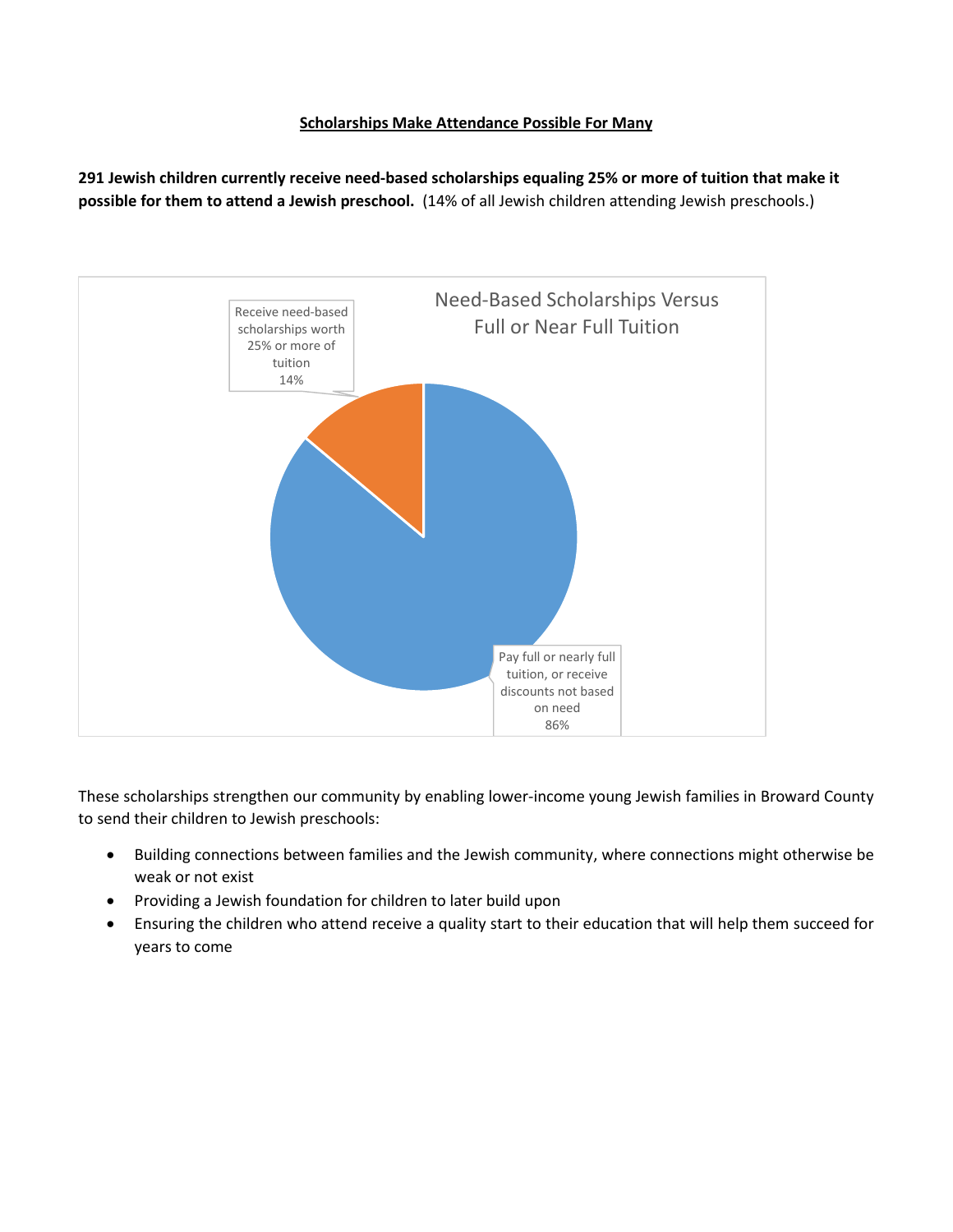## **Scholarships Make Attendance Possible For Many**

**291 Jewish children currently receive need-based scholarships equaling 25% or more of tuition that make it possible for them to attend a Jewish preschool.** (14% of all Jewish children attending Jewish preschools.)



These scholarships strengthen our community by enabling lower-income young Jewish families in Broward County to send their children to Jewish preschools:

- Building connections between families and the Jewish community, where connections might otherwise be weak or not exist
- Providing a Jewish foundation for children to later build upon
- Ensuring the children who attend receive a quality start to their education that will help them succeed for years to come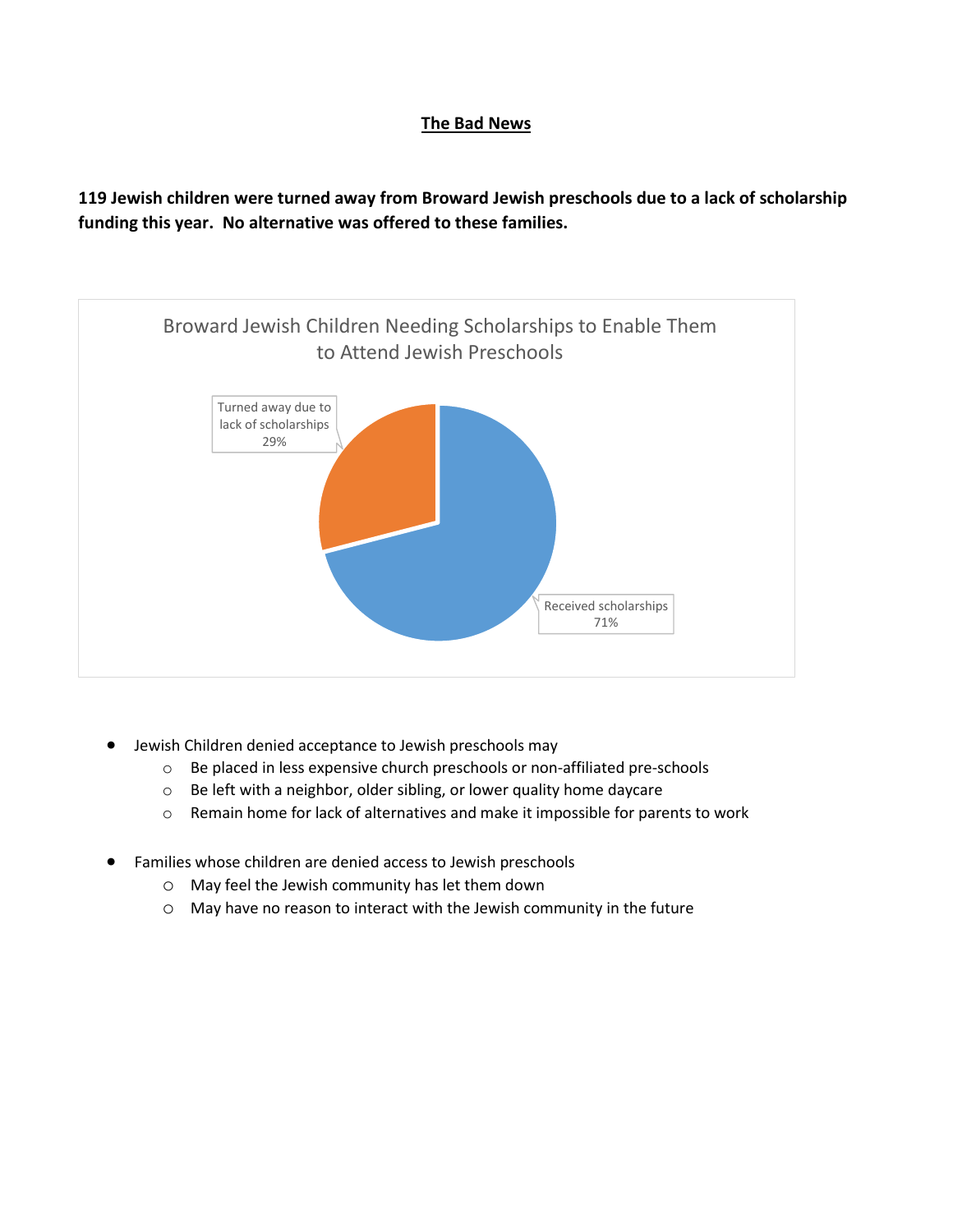# **The Bad News**

**119 Jewish children were turned away from Broward Jewish preschools due to a lack of scholarship funding this year. No alternative was offered to these families.**

![](_page_3_Figure_2.jpeg)

- Jewish Children denied acceptance to Jewish preschools may
	- o Be placed in less expensive church preschools or non-affiliated pre-schools
	- o Be left with a neighbor, older sibling, or lower quality home daycare
	- o Remain home for lack of alternatives and make it impossible for parents to work
- Families whose children are denied access to Jewish preschools
	- o May feel the Jewish community has let them down
	- o May have no reason to interact with the Jewish community in the future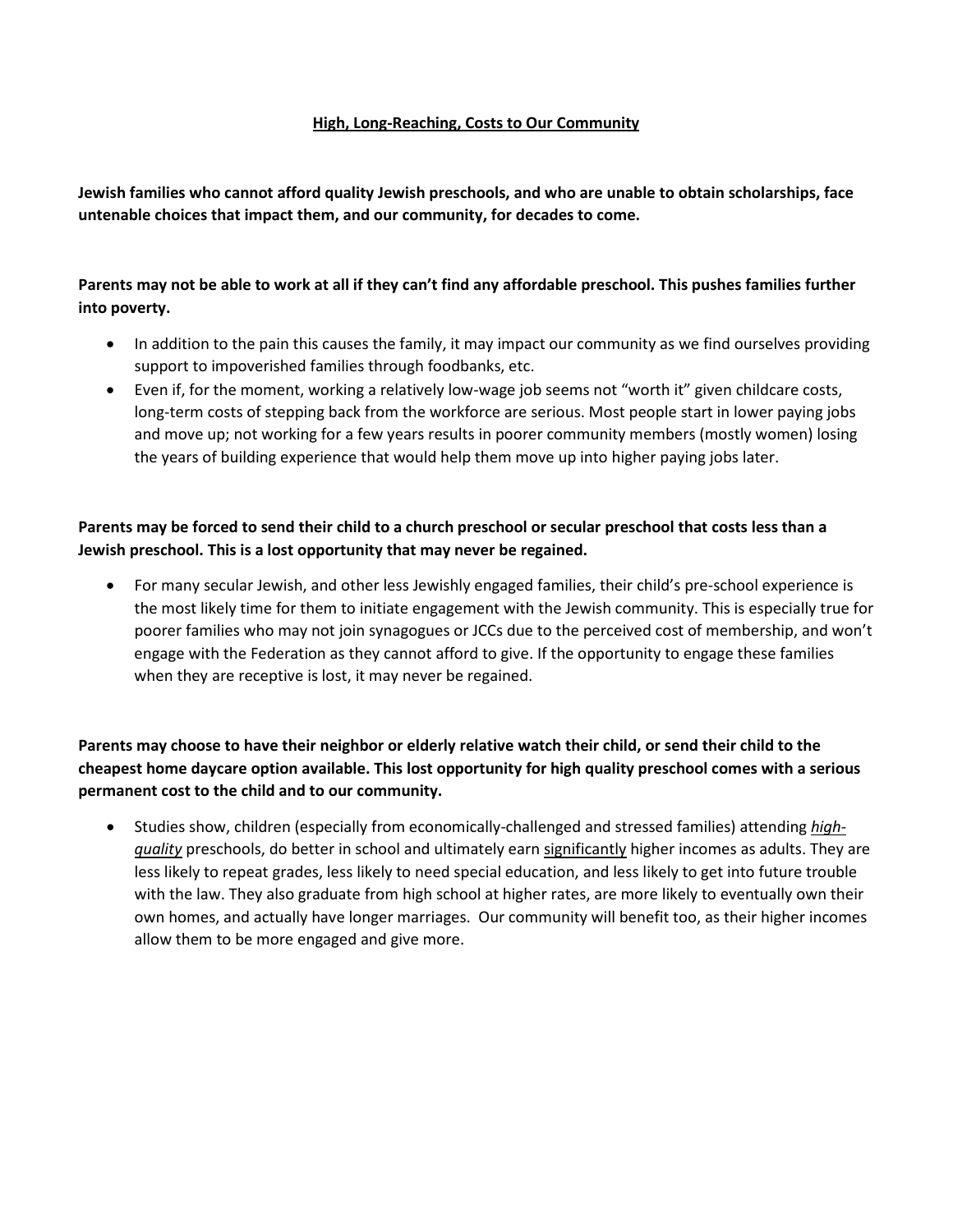## **High, Long-Reaching, Costs to Our Community**

**Jewish families who cannot afford quality Jewish preschools, and who are unable to obtain scholarships, face untenable choices that impact them, and our community, for decades to come.** 

# **Parents may not be able to work at all if they can't find any affordable preschool. This pushes families further into poverty.**

- In addition to the pain this causes the family, it may impact our community as we find ourselves providing support to impoverished families through foodbanks, etc.
- Even if, for the moment, working a relatively low-wage job seems not "worth it" given childcare costs, long-term costs of stepping back from the workforce are serious. Most people start in lower paying jobs and move up; not working for a few years results in poorer community members (mostly women) losing the years of building experience that would help them move up into higher paying jobs later.

# **Parents may be forced to send their child to a church preschool or secular preschool that costs less than a Jewish preschool. This is a lost opportunity that may never be regained.**

• For many secular Jewish, and other less Jewishly engaged families, their child's pre-school experience is the most likely time for them to initiate engagement with the Jewish community. This is especially true for poorer families who may not join synagogues or JCCs due to the perceived cost of membership, and won't engage with the Federation as they cannot afford to give. If the opportunity to engage these families when they are receptive is lost, it may never be regained.

# **Parents may choose to have their neighbor or elderly relative watch their child, or send their child to the cheapest home daycare option available. This lost opportunity for high quality preschool comes with a serious permanent cost to the child and to our community.**

• Studies show, children (especially from economically-challenged and stressed families) attending *highquality* preschools, do better in school and ultimately earn significantly higher incomes as adults. They are less likely to repeat grades, less likely to need special education, and less likely to get into future trouble with the law. They also graduate from high school at higher rates, are more likely to eventually own their own homes, and actually have longer marriages. Our community will benefit too, as their higher incomes allow them to be more engaged and give more.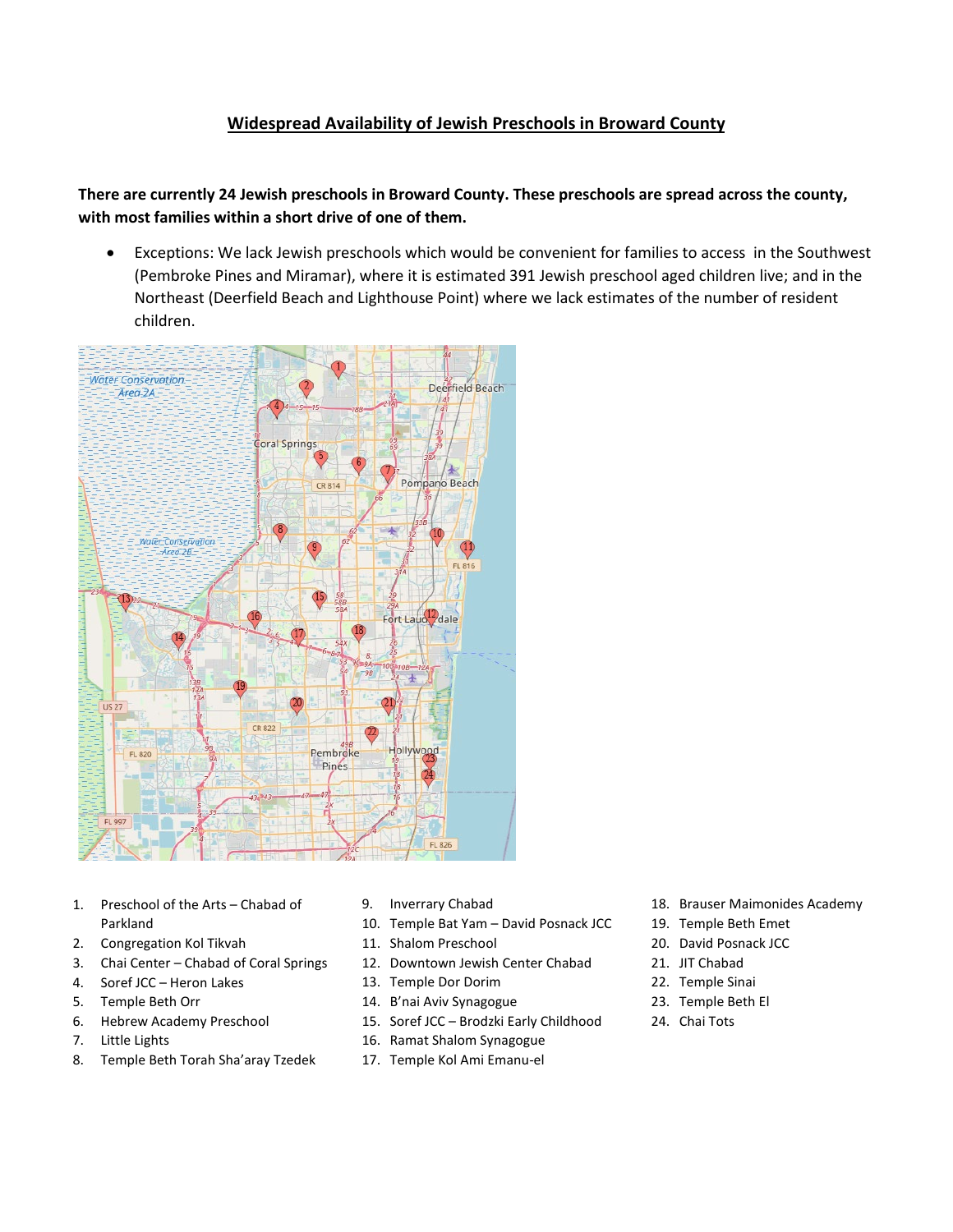# **Widespread Availability of Jewish Preschools in Broward County**

**There are currently 24 Jewish preschools in Broward County. These preschools are spread across the county, with most families within a short drive of one of them.** 

• Exceptions: We lack Jewish preschools which would be convenient for families to access in the Southwest (Pembroke Pines and Miramar), where it is estimated 391 Jewish preschool aged children live; and in the Northeast (Deerfield Beach and Lighthouse Point) where we lack estimates of the number of resident children.

![](_page_5_Figure_3.jpeg)

- 1. Preschool of the Arts Chabad of Parkland
- 2. Congregation Kol Tikvah
- 3. Chai Center Chabad of Coral Springs
- 4. Soref JCC Heron Lakes
- 5. Temple Beth Orr
- 6. Hebrew Academy Preschool
- 7. Little Lights
- 8. Temple Beth Torah Sha'aray Tzedek
- 9. Inverrary Chabad
- 10. Temple Bat Yam David Posnack JCC
- 11. Shalom Preschool
- 12. Downtown Jewish Center Chabad
- 13. Temple Dor Dorim
- 14. B'nai Aviv Synagogue
- 15. Soref JCC Brodzki Early Childhood
- 16. Ramat Shalom Synagogue
- 17. Temple Kol Ami Emanu-el
- 18. Brauser Maimonides Academy
- 19. Temple Beth Emet
- 20. David Posnack JCC
- 21. JIT Chabad
- 22. Temple Sinai
- 23. Temple Beth El
- 24. Chai Tots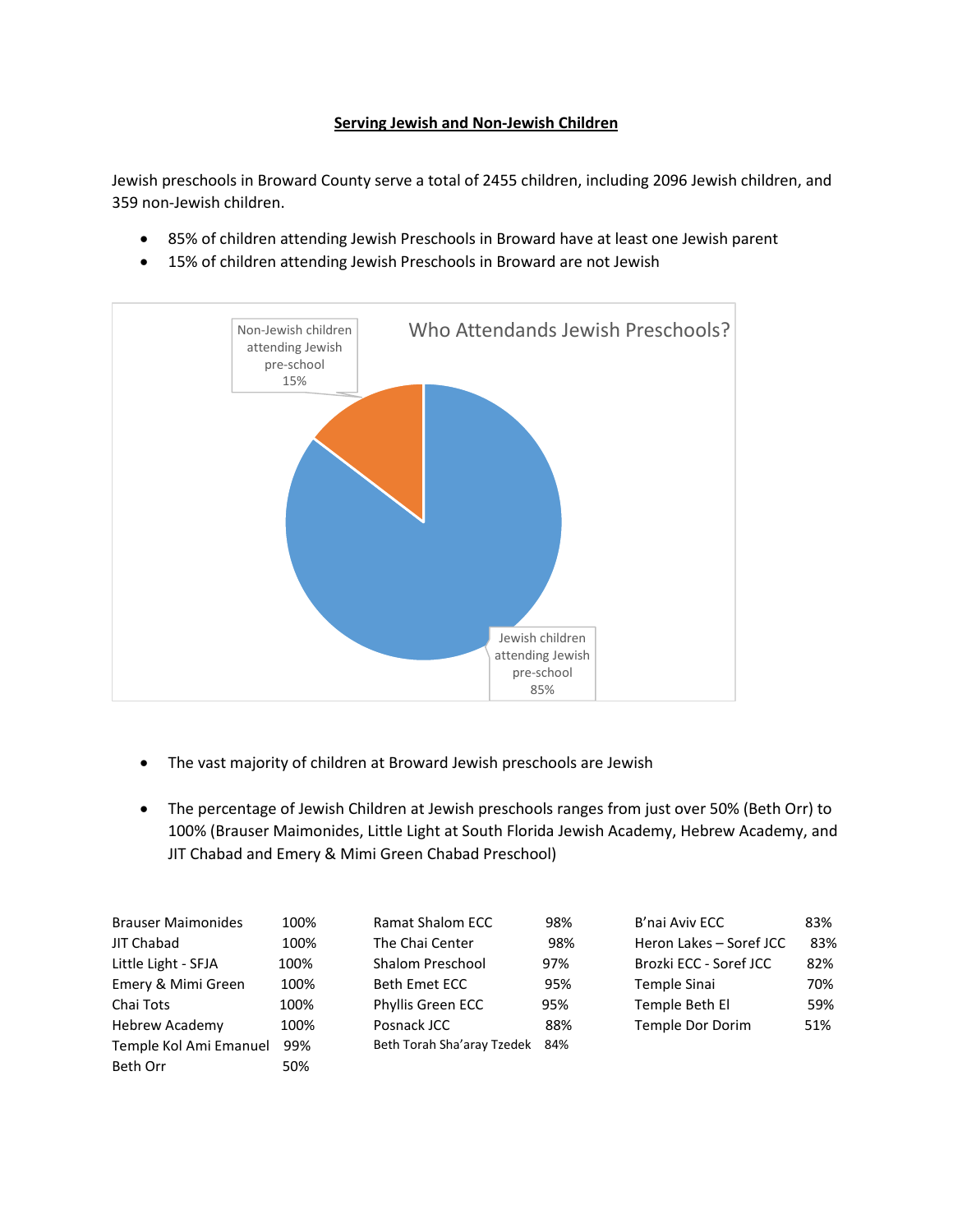## **Serving Jewish and Non-Jewish Children**

Jewish preschools in Broward County serve a total of 2455 children, including 2096 Jewish children, and 359 non-Jewish children.

- 85% of children attending Jewish Preschools in Broward have at least one Jewish parent
- 15% of children attending Jewish Preschools in Broward are not Jewish

![](_page_6_Figure_4.jpeg)

- The vast majority of children at Broward Jewish preschools are Jewish
- The percentage of Jewish Children at Jewish preschools ranges from just over 50% (Beth Orr) to 100% (Brauser Maimonides, Little Light at South Florida Jewish Academy, Hebrew Academy, and JIT Chabad and Emery & Mimi Green Chabad Preschool)

| <b>Brauser Maimonides</b> | 100% | <b>Ramat Shalom ECC</b>    | 98% | B'nai Aviv ECC          | 83% |
|---------------------------|------|----------------------------|-----|-------------------------|-----|
| JIT Chabad                | 100% | The Chai Center            | 98% | Heron Lakes - Soref JCC | 83% |
| Little Light - SFJA       | 100% | <b>Shalom Preschool</b>    | 97% | Brozki ECC - Soref JCC  | 82% |
| Emery & Mimi Green        | 100% | <b>Beth Emet ECC</b>       | 95% | Temple Sinai            | 70% |
| Chai Tots                 | 100% | Phyllis Green ECC          | 95% | Temple Beth El          | 59% |
| <b>Hebrew Academy</b>     | 100% | Posnack JCC                | 88% | Temple Dor Dorim        | 51% |
| Temple Kol Ami Emanuel    | 99%  | Beth Torah Sha'aray Tzedek | 84% |                         |     |
| Beth Orr                  | 50%  |                            |     |                         |     |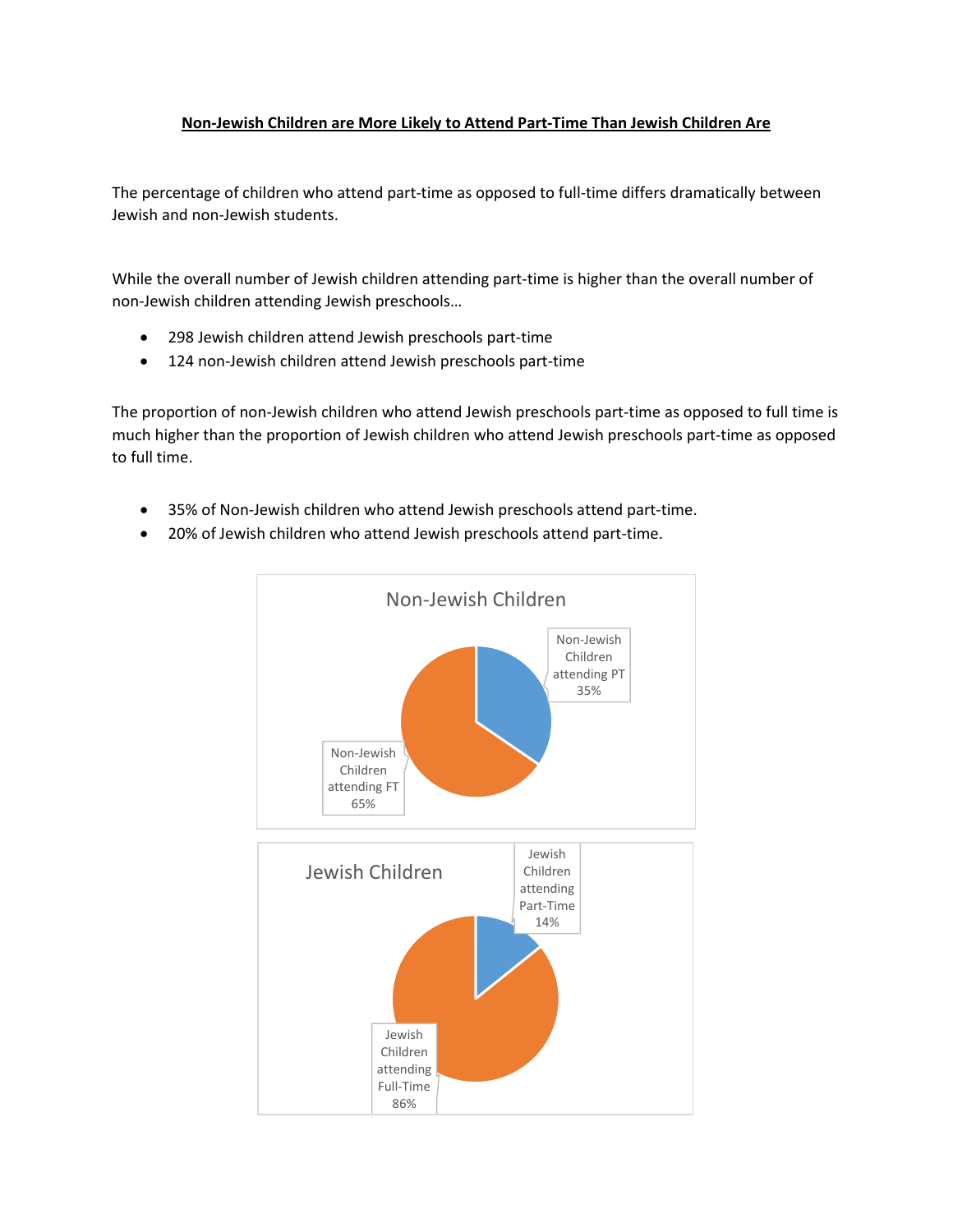#### **Non-Jewish Children are More Likely to Attend Part-Time Than Jewish Children Are**

The percentage of children who attend part-time as opposed to full-time differs dramatically between Jewish and non-Jewish students.

While the overall number of Jewish children attending part-time is higher than the overall number of non-Jewish children attending Jewish preschools…

- 298 Jewish children attend Jewish preschools part-time
- 124 non-Jewish children attend Jewish preschools part-time

The proportion of non-Jewish children who attend Jewish preschools part-time as opposed to full time is much higher than the proportion of Jewish children who attend Jewish preschools part-time as opposed to full time.

- 35% of Non-Jewish children who attend Jewish preschools attend part-time.
- 20% of Jewish children who attend Jewish preschools attend part-time.

![](_page_7_Figure_8.jpeg)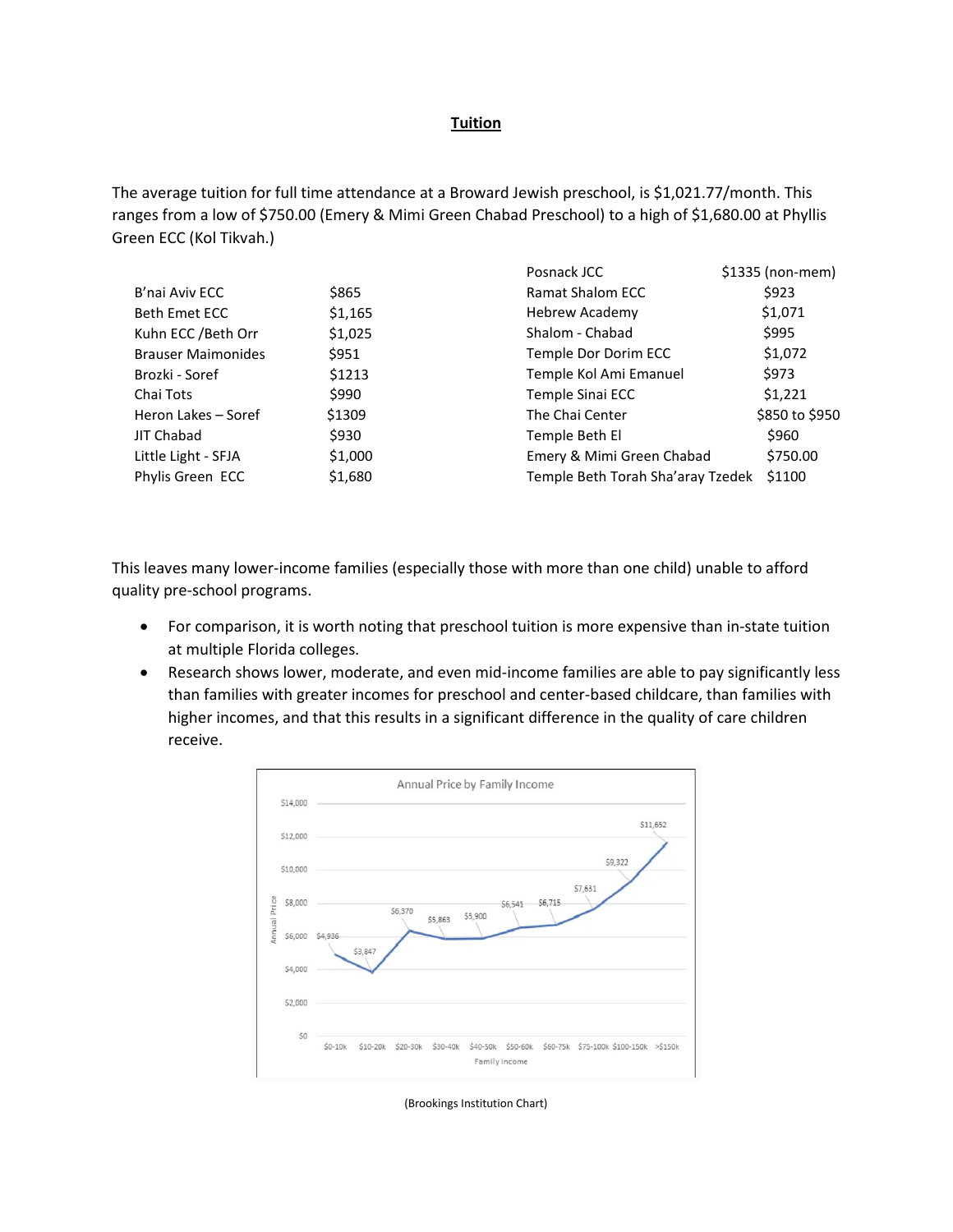#### **Tuition**

The average tuition for full time attendance at a Broward Jewish preschool, is \$1,021.77/month. This ranges from a low of \$750.00 (Emery & Mimi Green Chabad Preschool) to a high of \$1,680.00 at Phyllis Green ECC (Kol Tikvah.)

|                           |         | Posnack JCC                       | $$1335$ (non-mem) |
|---------------------------|---------|-----------------------------------|-------------------|
| B'nai Aviv ECC            | \$865   | <b>Ramat Shalom ECC</b>           | \$923             |
| Beth Emet ECC             | \$1,165 | <b>Hebrew Academy</b>             | \$1,071           |
| Kuhn ECC / Beth Orr       | \$1,025 | Shalom - Chabad                   | \$995             |
| <b>Brauser Maimonides</b> | \$951   | Temple Dor Dorim ECC              | \$1,072           |
| Brozki - Soref            | \$1213  | Temple Kol Ami Emanuel            | \$973             |
| Chai Tots                 | \$990   | Temple Sinai ECC                  | \$1,221           |
| Heron Lakes - Soref       | \$1309  | The Chai Center                   | \$850 to \$950    |
| JIT Chabad                | \$930   | Temple Beth El                    | \$960             |
| Little Light - SFJA       | \$1,000 | Emery & Mimi Green Chabad         | \$750.00          |
| Phylis Green ECC          | \$1,680 | Temple Beth Torah Sha'aray Tzedek | \$1100            |

This leaves many lower-income families (especially those with more than one child) unable to afford quality pre-school programs.

- For comparison, it is worth noting that preschool tuition is more expensive than in-state tuition at multiple Florida colleges.
- Research shows lower, moderate, and even mid-income families are able to pay significantly less than families with greater incomes for preschool and center-based childcare, than families with higher incomes, and that this results in a significant difference in the quality of care children receive.

![](_page_8_Figure_6.jpeg)

(Brookings Institution Chart)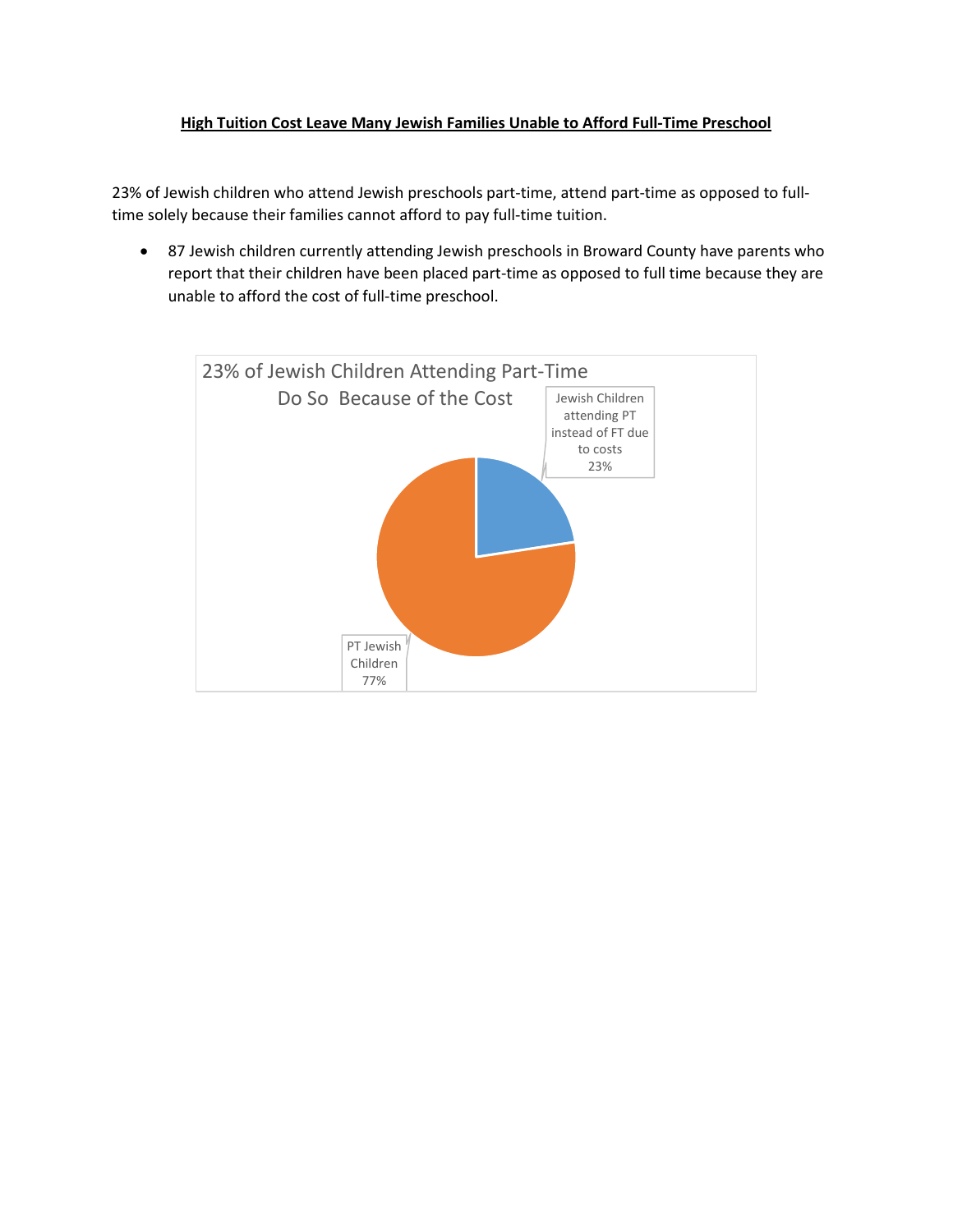## **High Tuition Cost Leave Many Jewish Families Unable to Afford Full-Time Preschool**

23% of Jewish children who attend Jewish preschools part-time, attend part-time as opposed to fulltime solely because their families cannot afford to pay full-time tuition.

• 87 Jewish children currently attending Jewish preschools in Broward County have parents who report that their children have been placed part-time as opposed to full time because they are unable to afford the cost of full-time preschool.

![](_page_9_Figure_3.jpeg)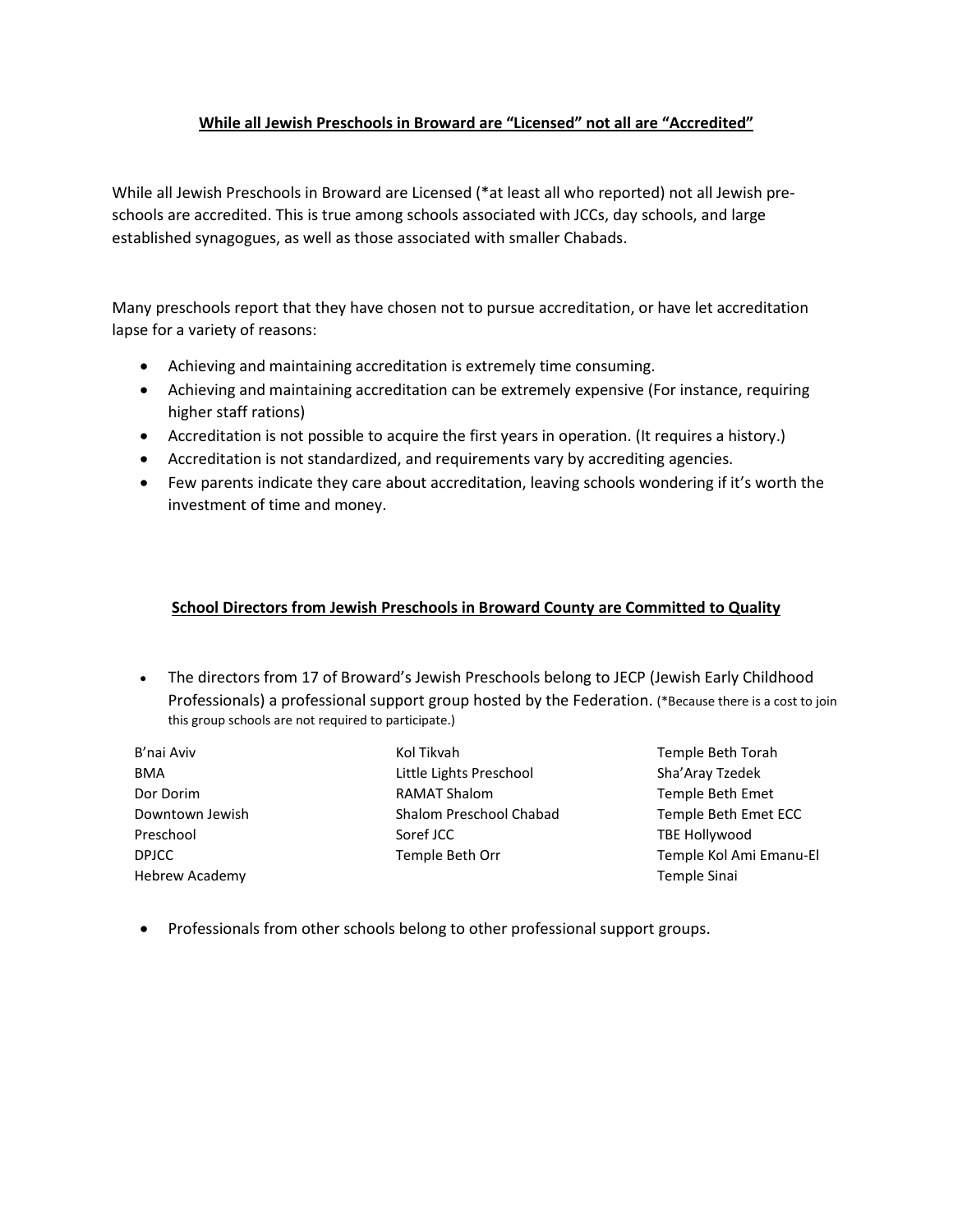## **While all Jewish Preschools in Broward are "Licensed" not all are "Accredited"**

While all Jewish Preschools in Broward are Licensed (\*at least all who reported) not all Jewish preschools are accredited. This is true among schools associated with JCCs, day schools, and large established synagogues, as well as those associated with smaller Chabads.

Many preschools report that they have chosen not to pursue accreditation, or have let accreditation lapse for a variety of reasons:

- Achieving and maintaining accreditation is extremely time consuming.
- Achieving and maintaining accreditation can be extremely expensive (For instance, requiring higher staff rations)
- Accreditation is not possible to acquire the first years in operation. (It requires a history.)
- Accreditation is not standardized, and requirements vary by accrediting agencies.
- Few parents indicate they care about accreditation, leaving schools wondering if it's worth the investment of time and money.

#### **School Directors from Jewish Preschools in Broward County are Committed to Quality**

- The directors from 17 of Broward's Jewish Preschools belong to JECP (Jewish Early Childhood Professionals) a professional support group hosted by the Federation. (\*Because there is a cost to join this group schools are not required to participate.)
- B'nai Aviv BMA Dor Dorim Downtown Jewish Preschool DPJCC Hebrew Academy

Kol Tikvah Little Lights Preschool RAMAT Shalom Shalom Preschool Chabad Soref JCC Temple Beth Orr

- Temple Beth Torah Sha'Aray Tzedek Temple Beth Emet Temple Beth Emet ECC TBE Hollywood Temple Kol Ami Emanu-El Temple Sinai
- Professionals from other schools belong to other professional support groups.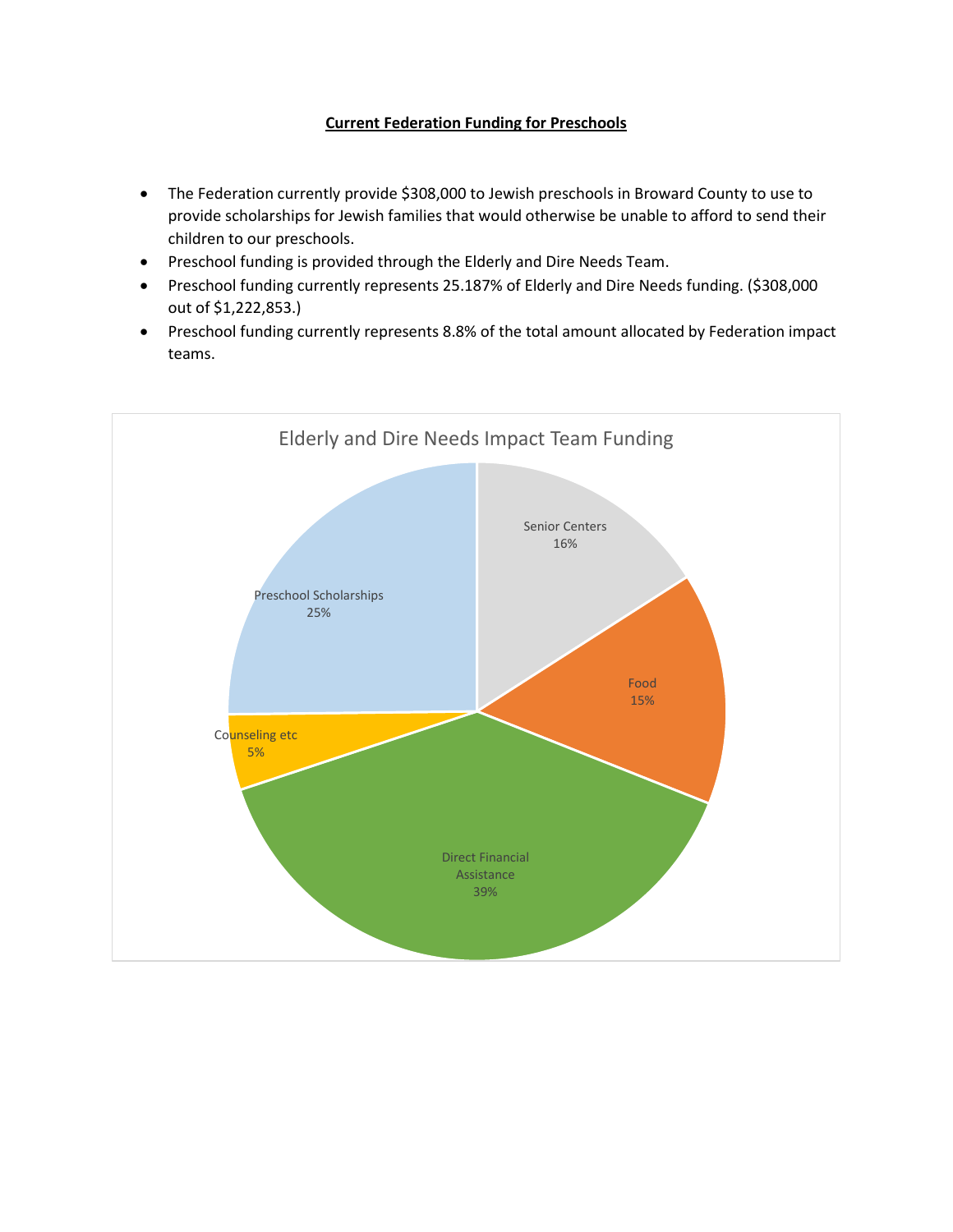## **Current Federation Funding for Preschools**

- The Federation currently provide \$308,000 to Jewish preschools in Broward County to use to provide scholarships for Jewish families that would otherwise be unable to afford to send their children to our preschools.
- Preschool funding is provided through the Elderly and Dire Needs Team.
- Preschool funding currently represents 25.187% of Elderly and Dire Needs funding. (\$308,000 out of \$1,222,853.)
- Preschool funding currently represents 8.8% of the total amount allocated by Federation impact teams.

![](_page_11_Figure_5.jpeg)